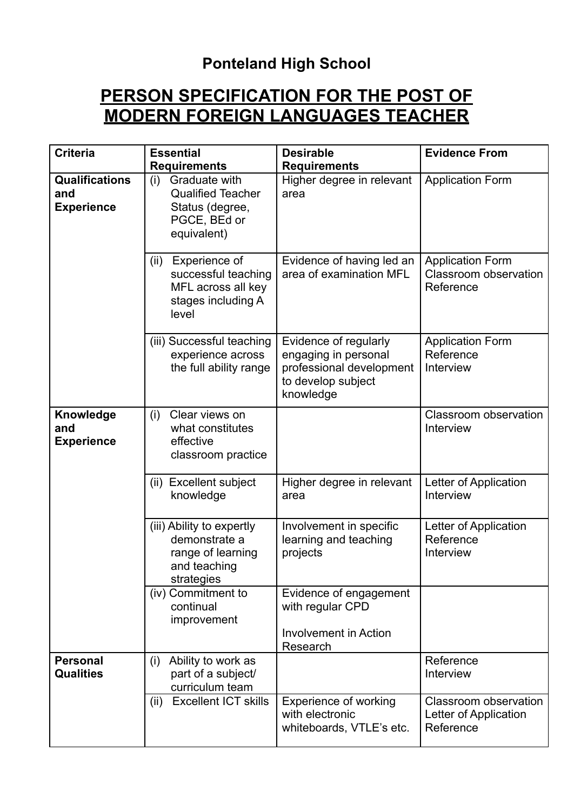## **Ponteland High School**

## **PERSON SPECIFICATION FOR THE POST OF MODERN FOREIGN LANGUAGES TEACHER**

| <b>Criteria</b>                                   | <b>Essential</b><br><b>Requirements</b>                                                            | <b>Desirable</b><br><b>Requirements</b>                                                                      | <b>Evidence From</b>                                          |
|---------------------------------------------------|----------------------------------------------------------------------------------------------------|--------------------------------------------------------------------------------------------------------------|---------------------------------------------------------------|
| <b>Qualifications</b><br>and<br><b>Experience</b> | Graduate with<br>(i)<br><b>Qualified Teacher</b><br>Status (degree,<br>PGCE, BEd or<br>equivalent) | Higher degree in relevant<br>area                                                                            | <b>Application Form</b>                                       |
|                                                   | Experience of<br>(ii)<br>successful teaching<br>MFL across all key<br>stages including A<br>level  | Evidence of having led an<br>area of examination MFL                                                         | <b>Application Form</b><br>Classroom observation<br>Reference |
|                                                   | (iii) Successful teaching<br>experience across<br>the full ability range                           | Evidence of regularly<br>engaging in personal<br>professional development<br>to develop subject<br>knowledge | <b>Application Form</b><br>Reference<br>Interview             |
| Knowledge<br>and<br><b>Experience</b>             | Clear views on<br>(i)<br>what constitutes<br>effective<br>classroom practice                       |                                                                                                              | Classroom observation<br>Interview                            |
|                                                   | <b>Excellent subject</b><br>(ii)<br>knowledge                                                      | Higher degree in relevant<br>area                                                                            | Letter of Application<br>Interview                            |
|                                                   | (iii) Ability to expertly<br>demonstrate a<br>range of learning<br>and teaching<br>strategies      | Involvement in specific<br>learning and teaching<br>projects                                                 | Letter of Application<br>Reference<br>Interview               |
|                                                   | (iv) Commitment to<br>continual<br>improvement                                                     | Evidence of engagement<br>with regular CPD<br><b>Involvement in Action</b><br>Research                       |                                                               |
| <b>Personal</b><br><b>Qualities</b>               | Ability to work as<br>(i)<br>part of a subject/<br>curriculum team                                 |                                                                                                              | Reference<br>Interview                                        |
|                                                   | <b>Excellent ICT skills</b><br>(ii)                                                                | <b>Experience of working</b><br>with electronic<br>whiteboards, VTLE's etc.                                  | Classroom observation<br>Letter of Application<br>Reference   |